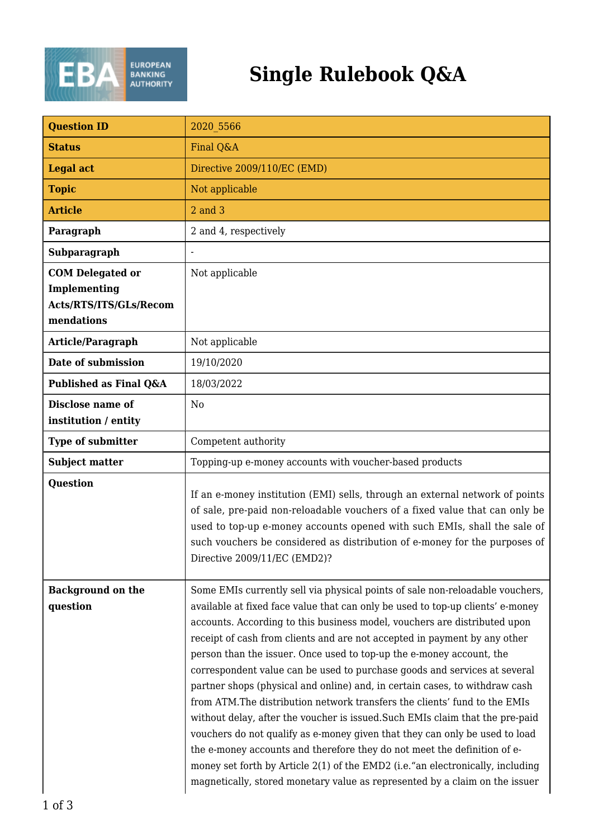

## **Single Rulebook Q&A**

| <b>Question ID</b>                                                              | 2020 5566                                                                                                                                                                                                                                                                                                                                                                                                                                                                                                                                                                                                                                                                                                                                                                                                                                                                               |
|---------------------------------------------------------------------------------|-----------------------------------------------------------------------------------------------------------------------------------------------------------------------------------------------------------------------------------------------------------------------------------------------------------------------------------------------------------------------------------------------------------------------------------------------------------------------------------------------------------------------------------------------------------------------------------------------------------------------------------------------------------------------------------------------------------------------------------------------------------------------------------------------------------------------------------------------------------------------------------------|
| <b>Status</b>                                                                   | Final Q&A                                                                                                                                                                                                                                                                                                                                                                                                                                                                                                                                                                                                                                                                                                                                                                                                                                                                               |
| <b>Legal act</b>                                                                | Directive 2009/110/EC (EMD)                                                                                                                                                                                                                                                                                                                                                                                                                                                                                                                                                                                                                                                                                                                                                                                                                                                             |
| <b>Topic</b>                                                                    | Not applicable                                                                                                                                                                                                                                                                                                                                                                                                                                                                                                                                                                                                                                                                                                                                                                                                                                                                          |
| <b>Article</b>                                                                  | 2 and 3                                                                                                                                                                                                                                                                                                                                                                                                                                                                                                                                                                                                                                                                                                                                                                                                                                                                                 |
| Paragraph                                                                       | 2 and 4, respectively                                                                                                                                                                                                                                                                                                                                                                                                                                                                                                                                                                                                                                                                                                                                                                                                                                                                   |
| Subparagraph                                                                    | $\blacksquare$                                                                                                                                                                                                                                                                                                                                                                                                                                                                                                                                                                                                                                                                                                                                                                                                                                                                          |
| <b>COM Delegated or</b><br>Implementing<br>Acts/RTS/ITS/GLs/Recom<br>mendations | Not applicable                                                                                                                                                                                                                                                                                                                                                                                                                                                                                                                                                                                                                                                                                                                                                                                                                                                                          |
| Article/Paragraph                                                               | Not applicable                                                                                                                                                                                                                                                                                                                                                                                                                                                                                                                                                                                                                                                                                                                                                                                                                                                                          |
| Date of submission                                                              | 19/10/2020                                                                                                                                                                                                                                                                                                                                                                                                                                                                                                                                                                                                                                                                                                                                                                                                                                                                              |
| Published as Final Q&A                                                          | 18/03/2022                                                                                                                                                                                                                                                                                                                                                                                                                                                                                                                                                                                                                                                                                                                                                                                                                                                                              |
| Disclose name of<br>institution / entity                                        | N <sub>0</sub>                                                                                                                                                                                                                                                                                                                                                                                                                                                                                                                                                                                                                                                                                                                                                                                                                                                                          |
| <b>Type of submitter</b>                                                        | Competent authority                                                                                                                                                                                                                                                                                                                                                                                                                                                                                                                                                                                                                                                                                                                                                                                                                                                                     |
| <b>Subject matter</b>                                                           | Topping-up e-money accounts with voucher-based products                                                                                                                                                                                                                                                                                                                                                                                                                                                                                                                                                                                                                                                                                                                                                                                                                                 |
| <b>Question</b>                                                                 | If an e-money institution (EMI) sells, through an external network of points<br>of sale, pre-paid non-reloadable vouchers of a fixed value that can only be<br>used to top-up e-money accounts opened with such EMIs, shall the sale of<br>such vouchers be considered as distribution of e-money for the purposes of<br>Directive 2009/11/EC (EMD2)?                                                                                                                                                                                                                                                                                                                                                                                                                                                                                                                                   |
| <b>Background on the</b><br>question                                            | Some EMIs currently sell via physical points of sale non-reloadable vouchers,<br>available at fixed face value that can only be used to top-up clients' e-money<br>accounts. According to this business model, vouchers are distributed upon<br>receipt of cash from clients and are not accepted in payment by any other<br>person than the issuer. Once used to top-up the e-money account, the<br>correspondent value can be used to purchase goods and services at several<br>partner shops (physical and online) and, in certain cases, to withdraw cash<br>from ATM. The distribution network transfers the clients' fund to the EMIs<br>without delay, after the voucher is issued. Such EMIs claim that the pre-paid<br>vouchers do not qualify as e-money given that they can only be used to load<br>the e-money accounts and therefore they do not meet the definition of e- |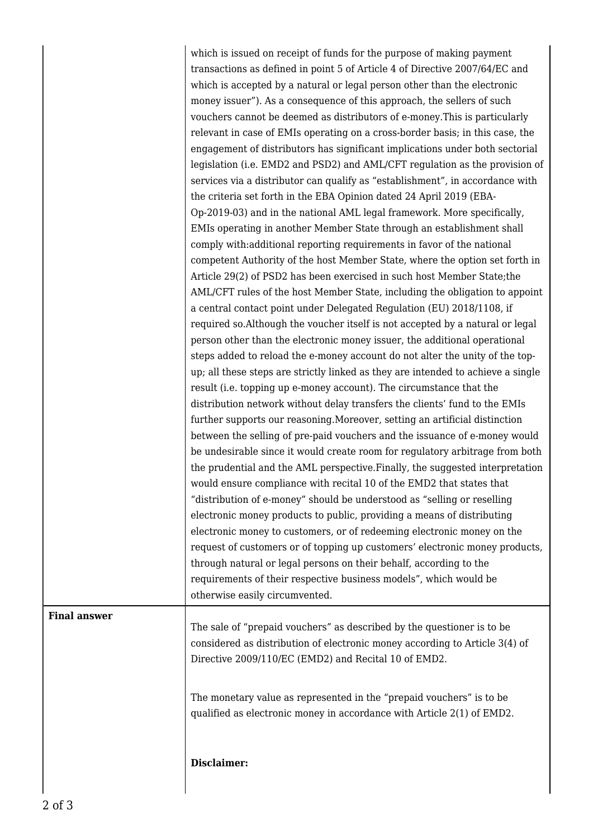|                     | <b>Disclaimer:</b>                                                                                                                                                                                                                                                                                                                                                                                                                                                                                                                                                                                                                                                                                                                                                                                                                                                                                                                                                                                                                                                                                                                                                                                                                                                                                                                                                                                                                                                                                                                                                                                                                                                                                                                                                                                                                                                                                                                                                                                                                                                                                                                                                                                                                                                                                                                                                                                                                                                                                                                                                                                                                                               |
|---------------------|------------------------------------------------------------------------------------------------------------------------------------------------------------------------------------------------------------------------------------------------------------------------------------------------------------------------------------------------------------------------------------------------------------------------------------------------------------------------------------------------------------------------------------------------------------------------------------------------------------------------------------------------------------------------------------------------------------------------------------------------------------------------------------------------------------------------------------------------------------------------------------------------------------------------------------------------------------------------------------------------------------------------------------------------------------------------------------------------------------------------------------------------------------------------------------------------------------------------------------------------------------------------------------------------------------------------------------------------------------------------------------------------------------------------------------------------------------------------------------------------------------------------------------------------------------------------------------------------------------------------------------------------------------------------------------------------------------------------------------------------------------------------------------------------------------------------------------------------------------------------------------------------------------------------------------------------------------------------------------------------------------------------------------------------------------------------------------------------------------------------------------------------------------------------------------------------------------------------------------------------------------------------------------------------------------------------------------------------------------------------------------------------------------------------------------------------------------------------------------------------------------------------------------------------------------------------------------------------------------------------------------------------------------------|
|                     | The monetary value as represented in the "prepaid vouchers" is to be<br>qualified as electronic money in accordance with Article 2(1) of EMD2.                                                                                                                                                                                                                                                                                                                                                                                                                                                                                                                                                                                                                                                                                                                                                                                                                                                                                                                                                                                                                                                                                                                                                                                                                                                                                                                                                                                                                                                                                                                                                                                                                                                                                                                                                                                                                                                                                                                                                                                                                                                                                                                                                                                                                                                                                                                                                                                                                                                                                                                   |
| <b>Final answer</b> | The sale of "prepaid vouchers" as described by the questioner is to be<br>considered as distribution of electronic money according to Article 3(4) of<br>Directive 2009/110/EC (EMD2) and Recital 10 of EMD2.                                                                                                                                                                                                                                                                                                                                                                                                                                                                                                                                                                                                                                                                                                                                                                                                                                                                                                                                                                                                                                                                                                                                                                                                                                                                                                                                                                                                                                                                                                                                                                                                                                                                                                                                                                                                                                                                                                                                                                                                                                                                                                                                                                                                                                                                                                                                                                                                                                                    |
|                     | transactions as defined in point 5 of Article 4 of Directive 2007/64/EC and<br>which is accepted by a natural or legal person other than the electronic<br>money issuer"). As a consequence of this approach, the sellers of such<br>vouchers cannot be deemed as distributors of e-money. This is particularly<br>relevant in case of EMIs operating on a cross-border basis; in this case, the<br>engagement of distributors has significant implications under both sectorial<br>legislation (i.e. EMD2 and PSD2) and AML/CFT regulation as the provision of<br>services via a distributor can qualify as "establishment", in accordance with<br>the criteria set forth in the EBA Opinion dated 24 April 2019 (EBA-<br>Op-2019-03) and in the national AML legal framework. More specifically,<br>EMIs operating in another Member State through an establishment shall<br>comply with:additional reporting requirements in favor of the national<br>competent Authority of the host Member State, where the option set forth in<br>Article 29(2) of PSD2 has been exercised in such host Member State; the<br>AML/CFT rules of the host Member State, including the obligation to appoint<br>a central contact point under Delegated Regulation (EU) 2018/1108, if<br>required so. Although the voucher itself is not accepted by a natural or legal<br>person other than the electronic money issuer, the additional operational<br>steps added to reload the e-money account do not alter the unity of the top-<br>up; all these steps are strictly linked as they are intended to achieve a single<br>result (i.e. topping up e-money account). The circumstance that the<br>distribution network without delay transfers the clients' fund to the EMIs<br>further supports our reasoning. Moreover, setting an artificial distinction<br>between the selling of pre-paid vouchers and the issuance of e-money would<br>be undesirable since it would create room for regulatory arbitrage from both<br>the prudential and the AML perspective. Finally, the suggested interpretation<br>would ensure compliance with recital 10 of the EMD2 that states that<br>"distribution of e-money" should be understood as "selling or reselling<br>electronic money products to public, providing a means of distributing<br>electronic money to customers, or of redeeming electronic money on the<br>request of customers or of topping up customers' electronic money products,<br>through natural or legal persons on their behalf, according to the<br>requirements of their respective business models", which would be<br>otherwise easily circumvented. |
|                     | which is issued on receipt of funds for the purpose of making payment                                                                                                                                                                                                                                                                                                                                                                                                                                                                                                                                                                                                                                                                                                                                                                                                                                                                                                                                                                                                                                                                                                                                                                                                                                                                                                                                                                                                                                                                                                                                                                                                                                                                                                                                                                                                                                                                                                                                                                                                                                                                                                                                                                                                                                                                                                                                                                                                                                                                                                                                                                                            |